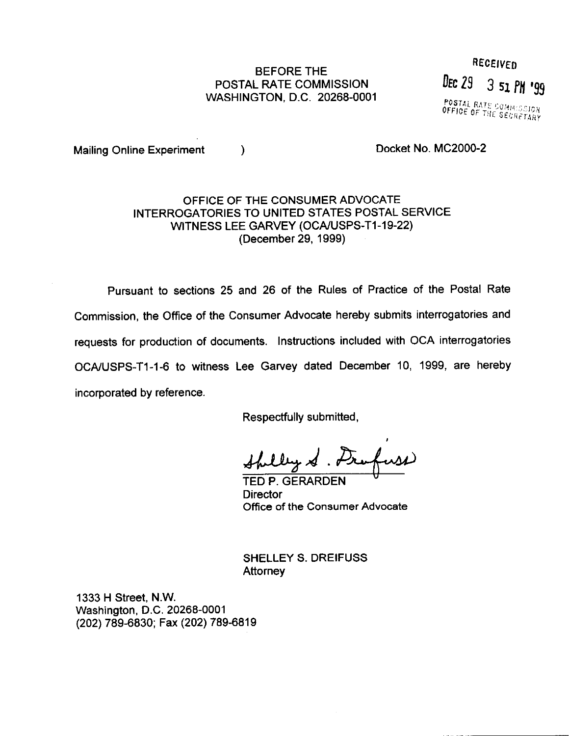## POSTAL RATE COMMISSION WASHINGTON, D.C. 20268-0001

BEFORE THE RECEIVED DEC 29 3 51 PM '99 POSTAL RATE COMMISSION

Mailing Online Experiment (a) and the Docket No. MC2000-2

## OFFICE OF THE CONSUMER ADVOCATE INTERROGATORIES TO UNITED STATES POSTAL SERVICE WITNESS LEE GARVEY (OCA/USPS-T1-19-22) (December 29, 1999)

Pursuant to sections 25 and 26 of the Rules of Practice of the Postal Rate Commission, the Office of the Consumer Advocate hereby submits interrogatories and requests for production of documents. Instructions included with OCA interrogatories OCA/USPS-T1-1-6 to witness Lee Garvey dated December 10, 1999, are hereby incorporated by reference,

Respectfully submitted,

TED P. GERARDEN "

**Director** Office of the Consumer Advocate

SHELLEY S. DREIFUSS Attorney

1333 H Street, N.W. Washington, D.C. 20268-0001 (202) 789-6830; Fax (202) 789-6819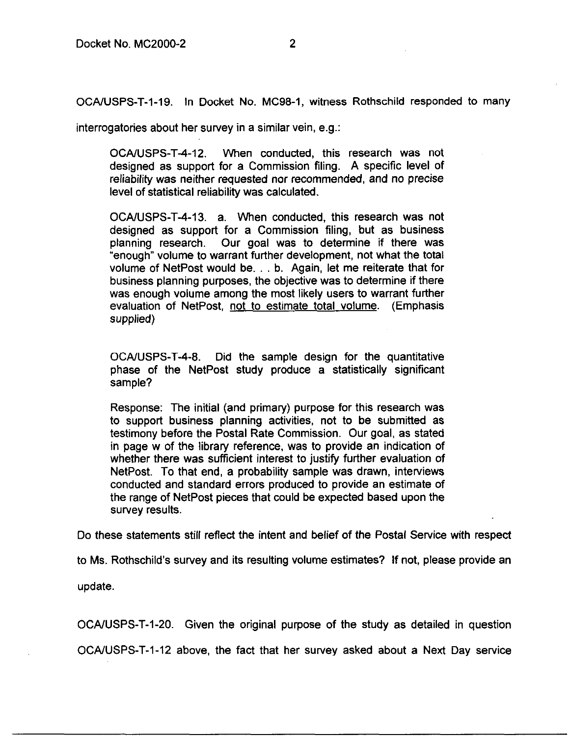OCAAJSPS-T-1-19. In Docket No. MC98-1, witness Rothschild responded to many

interrogatories about her survey in a similar vein, e.g.:

OCA/USPS-T-4-12. When conducted, this research was not designed as support for a Commission filing. A specific level of reliability was neither requested nor recommended, and no precise level of statistical reliability was calculated.

OCALJSPS-T-4-13. a. When conducted, this research was not designed as support for a Commission filing, but as business planning research. Our goal was to determine if there was "enough" volume to warrant further development, not what the total volume of NetPost would be. . . b. Again, let me reiterate that for business planning purposes, the objective was to determine if there was enough volume among the most likely users to warrant further evaluation of NetPost, not to estimate total volume. (Emphasis supplied)

OCAAJSPS-T-4-8. Did the sample design for the quantitative phase of the NetPost study produce a statistically significant sample?

Response: The initial (and primary) purpose for this research was to support business planning activities, not to be submitted as testimony before the Postal Rate Commission. Our goal, as stated in page w of the library reference, was to provide an indication of whether there was sufficient interest to justify further evaluation of NetPost. To that end, a probability sample was drawn, interviews conducted and standard errors produced to provide an estimate of the range of NetPost pieces that could be expected based upon the survey results.

Do these statements still reflect the intent and belief of the Postal Service with respect

to Ms. Rothschild's survey and its resulting volume estimates? If not, please provide an

update.

OCAAJSPS-T-1-20. Given the original purpose of the study as detailed in question OCAAJSPS-T-1-12 above, the fact that her survey asked about a Next Day service